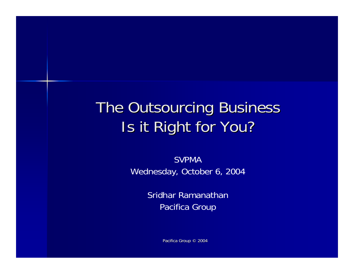## The Outsourcing Business Is it Right for You?

SVPMA Wednesday, October 6, 2004

> Sridhar RamanathanPacifica Group

> > Pacifica Group © 2004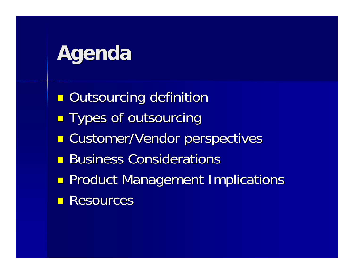# **Agenda**

- **C n** Outsourcing definition
- **Contract Types of outsourcing**
- **C E** Customer/Vendor perspectives
- **Business Considerations**
- **Contract Product Management Implications**
- **Resources**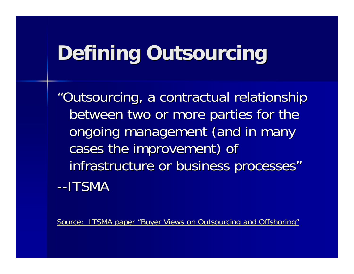# **Defining Outsourcing**

"Outsourcing, a contractual relationship between two or more parties for the ongoing management (and in many cases the improvement) of infrastructure or business processes" --ITSMA

[Source: ITSMA paper "Buyer Views on Out](http://www.itsma.com/research/pdf_free/ITSMA_F008sum.pdf)sourcing and Offshoring"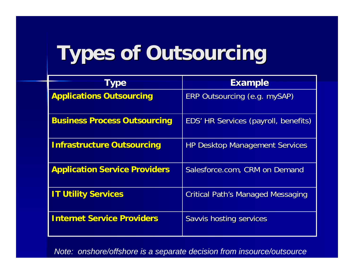# **Types of Outsourcing Types of Outsourcing**

| <b>Type</b>                          | <b>Example</b>                           |  |  |
|--------------------------------------|------------------------------------------|--|--|
| <b>Applications Outsourcing</b>      | ERP Outsourcing (e.g. mySAP)             |  |  |
| <b>Business Process Outsourcing</b>  | EDS' HR Services (payroll, benefits)     |  |  |
| <b>Infrastructure Outsourcing</b>    | <b>HP Desktop Management Services</b>    |  |  |
| <b>Application Service Providers</b> | Salesforce.com, CRM on Demand            |  |  |
| <b>IT Utility Services</b>           | <b>Critical Path's Managed Messaging</b> |  |  |
| <b>Internet Service Providers</b>    | Savvis hosting services                  |  |  |

*Note: onshore/offshore is a separate decision from insource/outsource*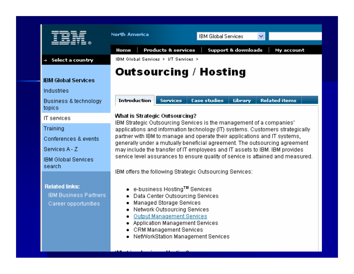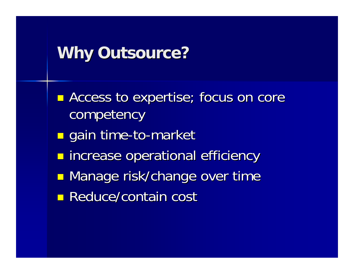### **Why Outsource? Why Outsource?**

- **C - Access to expertise; focus on core** competency
- **C** ■ gain time-to-market
- **Contract n** increase operational efficiency
- **Contract n** Manage risk/change over time
- **Reduce/contain cost**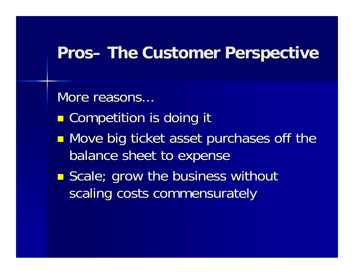## **Pros– The Customer Perspective The Customer Perspective**

More reasons...

- **Contract E** Competition is doing it
- **C n** Move big ticket asset purchases off the balance sheet to expense
- **Contract E** Scale; grow the business without scaling costs commensurately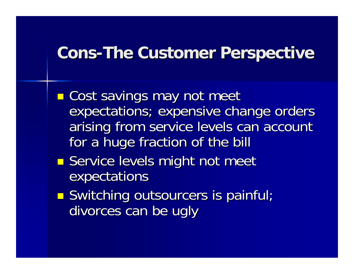### **Cons-The Customer Perspective**

- **Contract n** Cost savings may not meet expectations; expensive change orders arising from service levels can account for a huge fraction of the bill
- **C Service levels might not meet** expectations
- **Contract Switching outsourcers is painful;** divorces can be ugly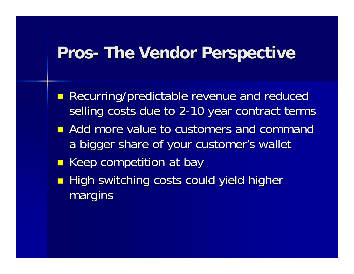## **Pros- The Vendor Perspective The Vendor Perspective**

- **Recurring/predictable revenue and reduced** selling costs due to 2-10 year contract terms
- $\blacksquare$  Add more value to customers and command a bigger share of your customer's wallet
- **E** Keep competition at bay
- $\blacksquare$  High switching costs could yield higher margins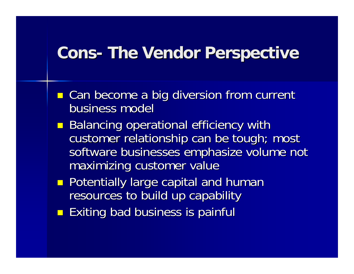## **Cons- The Vendor Perspective The Vendor Perspective**

- **E** Can become a big diversion from current business model
- **Balancing operational efficiency with** customer relationship can be tough; most software businesses emphasize volume not maximizing customer value
- **Potentially large capital and human** resources to build up capability
- **Exiting bad business is painful**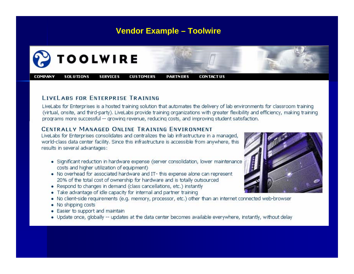#### **Vendor Example – Toolwire**



#### **LIVELARS FOR ENTERPRISE TRAINING**

LiveLabs for Enterprises is a hosted training solution that automates the delivery of lab environments for classroom training (virtual, onsite, and third-party). LiveLabs provide training organizations with greater flexibility and efficiency, making training programs more successful -- growing revenue, reducing costs, and improving student satisfaction.

#### **CENTRALLY MANAGED ONLINE TRAINING ENVIRONMENT**

LiveLabs for Enterprises consolidates and centralizes the lab infrastructure in a managed, world-class data center facility. Since this infrastructure is accessible from anywhere, this results in several advantages:

- · Significant reduction in hardware expense (server consolidation, lower maintenance costs and higher utilization of equipment)
- . No overhead for associated hardware and IT- this expense alone can represent 20% of the total cost of ownership for hardware and is totally outsourced
- Respond to changes in demand (class cancellations, etc.) instantly
- . Take advantage of idle capacity for internal and partner training
- . No client-side requirements (e.g. memory, processor, etc.) other than an internet connected web-browser
- No shipping costs
- Easier to support and maintain
- . Update once, globally -- updates at the data center becomes available everywhere, instantly, without delay

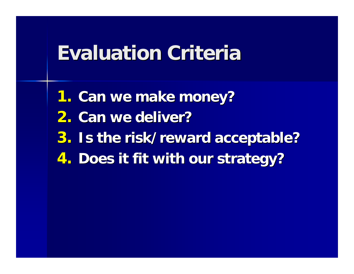## **Evaluation Criteria Evaluation Criteria**

- **1. Can we make money?**
- **2. Can we deliver? Can we deliver?**
- **3.** Is the risk/reward acceptable?
- **4. Does it fit with our strategy?**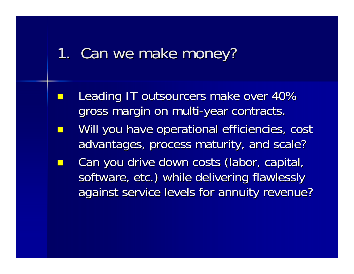### 1. Can we make money?

- e<br>Santa Leading IT outsourcers make over 40% Leading IT outsourcers make over 40% gross margin on multi-year contracts.
- e<br>Santa Will you have operational efficiencies, cost advantages, process maturity, and scale?
- e<br>Santa Can you drive down costs (labor, capital, software, etc.) while delivering flawlessly against service levels for annuity revenue?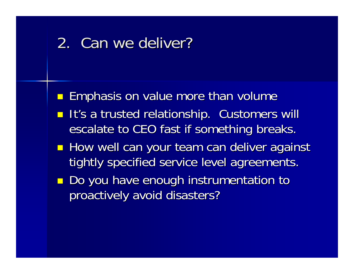## 2. Can we deliver?

- **Example Emphasis on value more than volume**
- **It's a trusted relationship. Customers will** escalate to CEO fast if something breaks.
- **How well can your team can deliver against** tightly specified service level agreements.
- **Do you have enough instrumentation to** proactively avoid disasters? proactively avoid disasters?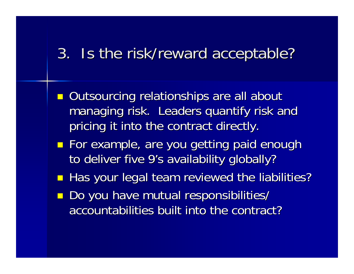### 3. Is the risk/reward acceptable? 3. Is the risk/reward acceptable?

- **Outsourcing relationships are all about** managing risk. Leaders quantify risk and pricing it into the contract directly. pricing it into the contract directly.
- **For example, are you getting paid enough** to deliver five 9's availability globally?
- Has your legal team reviewed the liabilities?
- Do you have mutual responsibilities/ accountabilities built into the contract?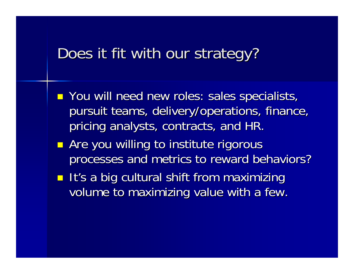### Does it fit with our strategy?

- **P** You will need new roles: sales specialists, pursuit teams, delivery/operations, finance, pricing analysts, contracts, and HR.
- **Are you willing to institute rigorous** processes and metrics to reward behaviors?
- **It's a big cultural shift from maximizing** volume to maximizing value with a few.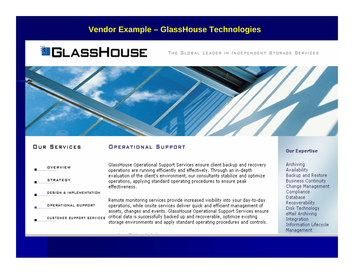#### **Vendor Example – GlassHouse Technologies**

### **O**CLASSHOUSE

THE GLOBAL LEADER IN INDEPENDENT STORAGE SERVICES



#### **OUR SERVICES**

#### **OPERATIONAL SUPPORT**

OVERVIEW **STRATEGY** DESIGN & IMPLEMENTATION OPERATIONAL SUPPORT CUSTOMER SUPPORT SERVICES

GlassHouse Operational Support Services ensure client backup and recovery operations are running efficiently and effectively. Through an in-depth evaluation of the client's environment, our consultants stabilize and optimize operations, applying standard operating procedures to ensure peak effectiveness.

Remote monitoring services provide increased visibility into your day-to-day operations, while onsite services deliver quick and efficient management of assets, changes and events. GlassHouse Operational Support Services ensure critical data is successfully backed up and recoverable, optimize existing storage environments and apply standard operating procedures and controls.

#### **Our Expertise**

Archiving **Availability** Backup and Restore **Business Continuity** Change Management Compliance **Database** Recoverability Disk Technology eMail Archiving Integration **Information Lifecycle** Management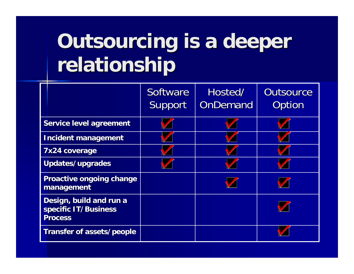# **Outsourcing is a deeper relationship relationship**

|                                                                   | Software<br><b>Support</b> | Hosted/<br><b>OnDemand</b> | <b>Outsource</b><br>Option |
|-------------------------------------------------------------------|----------------------------|----------------------------|----------------------------|
| <b>Service level agreement</b>                                    |                            |                            |                            |
| <b>Incident management</b>                                        |                            |                            |                            |
| 7x24 coverage                                                     |                            |                            |                            |
| Updates/upgrades                                                  |                            |                            |                            |
| <b>Proactive ongoing change</b><br>management                     |                            |                            |                            |
| Design, build and run a<br>specific IT/Business<br><b>Process</b> |                            |                            |                            |
| Transfer of assets/people                                         |                            |                            |                            |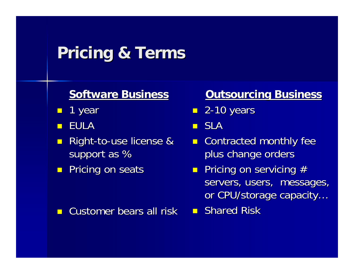## **Pricing & Terms Pricing & Terms**

### **Software Business Software Business**

- $\blacksquare$ 1 year
- $\Box$ EULA
- $\Box$  $\blacksquare$  Right-to-use license & support as %
- **Pricing on seats**

#### $\blacksquare$ Customer bears all risk

### **Outsourcing Business**

■ 2-10 years

SLA

- $\blacksquare$  Contracted monthly fee plus change orders
- $\textcolor{red}{\blacksquare}$  Pricing on servicing  $\textcolor{red}{\#}$ servers, users, messages, or CPU/storage capacity...
- **B** Shared Risk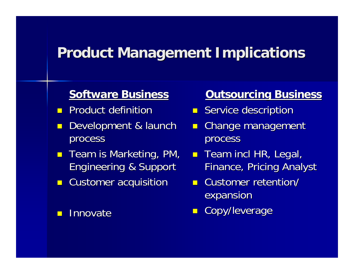### **Product Management Implications Product Management Implications**

### **Software Business Software Business**

- $\Box$ Product definition
- $\blacksquare$ Development & launch process
- $\blacksquare$ Team is Marketing, PM, Engineering & Support
- $\blacksquare$ Customer acquisition

 $\blacksquare$ **<u>Relationate</u>** 

### **Outsourcing Business**

- $\blacksquare$  Service description
- $\blacksquare$ Change management process
- $\blacksquare$  Team incl HR, Legal, Finance, Pricing Analyst
- **E** Customer retention/ expansion
- $\blacksquare$ Copy/leverage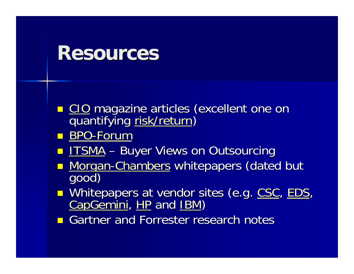## **Resources Resources**

- **EXTEE CIO magazi[ne articles](http://www.darwinmag.com/read/060103/risk.html) (excellent one on<br>magazine articles (excellent one on<br>quantifying [risk/return](http://www.darwinmag.com/read/060103/risk.html))** quantifying risk/return)
- BPO[-Forum](http://www.bpoforum.org/)
- e<br>Santa [ITSMA](http://www.itsma.com/research/abstracts/f008.htm) –– Buyer Views on Outsourcing
- **Norgan-Chambers whitepapers (dated but goo[d\)](http://www.morgan-chambers.com/)**
- **Service Service** [Whitepaper](http://www.capgemini.com/outsourcing/index.shtml)[s at](http://www.hp.com/hps/index_managed.html) ven[dor s](http://www-1.ibm.com/services/us/index.wss/it/so/a1000414)ites(e.g. [CSC](http://www.csc.com/solutions/applicationoutsourcing/), [EDS](http://www.eds.com/services_offerings/so_bpo_overview.shtml), [CapGemini](http://www.capgemini.com/outsourcing/index.shtml), HP and IBM)
- **Gartner and Forrester research notes**